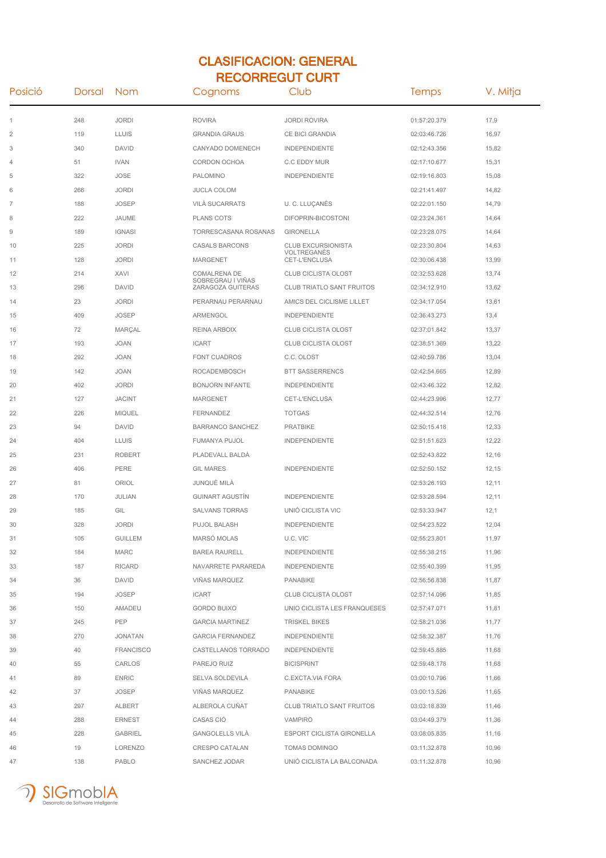## CLASIFICACION: GENERAL RECORREGUT CURT

| Posició | Dorsal | Nom              | Cognoms                                | Club                             | Temps        | V. Mitja |
|---------|--------|------------------|----------------------------------------|----------------------------------|--------------|----------|
| 1       | 248    | <b>JORDI</b>     | <b>ROVIRA</b>                          | <b>JORDI ROVIRA</b>              | 01:57:20.379 | 17,9     |
| 2       | 119    | <b>LLUIS</b>     | <b>GRANDIA GRAUS</b>                   | CE BICI GRANDIA                  | 02:03:46.726 | 16,97    |
| 3       | 340    | <b>DAVID</b>     | CANYADO DOMENECH                       | <b>INDEPENDIENTE</b>             | 02:12:43.356 | 15,82    |
| 4       | 51     | <b>IVAN</b>      | CORDON OCHOA                           | C.C EDDY MUR                     | 02:17:10.677 | 15,31    |
| 5       | 322    | <b>JOSE</b>      | <b>PALOMINO</b>                        | <b>INDEPENDIENTE</b>             | 02:19:16.803 | 15,08    |
| 6       | 266    | <b>JORDI</b>     | <b>JUCLA COLOM</b>                     |                                  | 02:21:41.497 | 14,82    |
| 7       | 188    | <b>JOSEP</b>     | <b>VILÀ SUCARRATS</b>                  | U. C. LLUÇANÈS                   | 02:22:01.150 | 14,79    |
| 8       | 222    | JAUME            | <b>PLANS COTS</b>                      | DIFOPRIN-BICOSTONI               | 02:23:24.361 | 14,64    |
| 9       | 189    | <b>IGNASI</b>    | TORRESCASANA ROSANAS                   | <b>GIRONELLA</b>                 | 02:23:28.075 | 14,64    |
| 10      | 225    | <b>JORDI</b>     | <b>CASALS BARCONS</b>                  | <b>CLUB EXCURSIONISTA</b>        | 02:23:30.804 | 14,63    |
| 11      | 128    | <b>JORDI</b>     | <b>MARGENET</b>                        | VOLTREGANES<br>CET-L'ENCLUSA     | 02:30:06.438 | 13,99    |
| 12      | 214    | XAVI             | COMALRENA DE                           | <b>CLUB CICLISTA OLOST</b>       | 02:32:53.628 | 13,74    |
| 13      | 296    | <b>DAVID</b>     | SOBREGRAU I VINAS<br>ZARAGOZA GUITERAS | <b>CLUB TRIATLO SANT FRUITOS</b> | 02:34:12.910 | 13,62    |
| 14      | 23     | <b>JORDI</b>     | PERARNAU PERARNAU                      | AMICS DEL CICLISME LILLET        | 02:34:17.054 | 13,61    |
| 15      | 409    | <b>JOSEP</b>     | ARMENGOL                               | <b>INDEPENDIENTE</b>             | 02:36:43.273 | 13,4     |
| 16      | 72     | MARÇAL           | REINA ARBOIX                           | <b>CLUB CICLISTA OLOST</b>       | 02:37:01.842 | 13,37    |
| 17      | 193    | <b>JOAN</b>      | <b>ICART</b>                           | <b>CLUB CICLISTA OLOST</b>       | 02:38:51.369 | 13,22    |
| 18      | 292    | <b>JOAN</b>      | <b>FONT CUADROS</b>                    | C.C. OLOST                       | 02:40:59.786 | 13,04    |
| 19      | 142    | <b>JOAN</b>      | ROCADEMBOSCH                           | <b>BTT SASSERRENCS</b>           | 02:42:54.665 | 12,89    |
| 20      | 402    | <b>JORDI</b>     | <b>BONJORN INFANTE</b>                 | <b>INDEPENDIENTE</b>             | 02:43:46.322 | 12,82    |
| 21      | 127    | <b>JACINT</b>    | <b>MARGENET</b>                        | CET-L'ENCLUSA                    | 02:44:23.996 | 12,77    |
| 22      | 226    | <b>MIQUEL</b>    | <b>FERNANDEZ</b>                       | <b>TOTGAS</b>                    | 02:44:32.514 | 12,76    |
| 23      | 94     | <b>DAVID</b>     | <b>BARRANCO SANCHEZ</b>                | <b>PRATBIKE</b>                  | 02:50:15.418 | 12,33    |
| 24      | 404    | <b>LLUIS</b>     | FUMANYA PUJOL                          | <b>INDEPENDIENTE</b>             | 02:51:51.623 | 12,22    |
| 25      | 231    | <b>ROBERT</b>    | PLADEVALL BALDÁ                        |                                  | 02:52:43.822 | 12,16    |
| 26      | 406    | PERE             | <b>GIL MARES</b>                       | <b>INDEPENDIENTE</b>             | 02:52:50.152 | 12,15    |
| 27      | 81     | ORIOL            | JUNQUÉ MILÀ                            |                                  | 02:53:26.193 | 12,11    |
| 28      | 170    | JULIAN           | <b>GUINART AGUSTÍN</b>                 | <b>INDEPENDIENTE</b>             | 02:53:28.594 | 12,11    |
| 29      | 185    | GIL              | <b>SALVANS TORRAS</b>                  | UNIÓ CICLISTA VIC                | 02:53:33.947 | 12,1     |
| 30      | 328    | <b>JORDI</b>     | <b>PUJOL BALASH</b>                    | <b>INDEPENDIENTE</b>             | 02:54:23.522 | 12,04    |
| 31      | 105    | <b>GUILLEM</b>   | MARSÓ MOLAS                            | U.C. VIC                         | 02:55:23.801 | 11,97    |
| 32      | 184    | <b>MARC</b>      | <b>BAREA RAURELL</b>                   | <b>INDEPENDIENTE</b>             | 02:55:38.215 | 11,96    |
| 33      | 187    | <b>RICARD</b>    | NAVARRETE PARAREDA                     | INDEPENDIENTE                    | 02:55:40.399 | 11,95    |
| 34      | 36     | <b>DAVID</b>     | VIÑAS MARQUEZ                          | PANABIKE                         | 02:56:56.838 | 11,87    |
| 35      | 194    | <b>JOSEP</b>     | <b>ICART</b>                           | <b>CLUB CICLISTA OLOST</b>       | 02:57:14.096 | 11,85    |
| 36      | 150    | <b>AMADEU</b>    | <b>GORDO BUIXO</b>                     | UNIO CICLISTA LES FRANQUESES     | 02:57:47.071 | 11,81    |
| 37      | 245    | PEP              | <b>GARCIA MARTINEZ</b>                 | <b>TRISKEL BIKES</b>             | 02:58:21.036 | 11,77    |
| 38      | 270    | JONATAN          | <b>GARCIA FERNANDEZ</b>                | INDEPENDIENTE                    | 02:58:32.387 | 11,76    |
| 39      | 40     | <b>FRANCISCO</b> | CASTELLANOS TORRADO                    | <b>INDEPENDIENTE</b>             | 02:59:45.885 | 11,68    |
| 40      | 55     | CARLOS           | PAREJO RUIZ                            | <b>BICISPRINT</b>                | 02:59:48.178 | 11,68    |
| 41      | 89     | <b>ENRIC</b>     | <b>SELVA SOLDEVILA</b>                 | C.EXCTA.VIA FORA                 | 03:00:10.796 | 11,66    |
| 42      | 37     | <b>JOSEP</b>     | VIÑAS MARQUEZ                          | <b>PANABIKE</b>                  | 03:00:13.526 | 11,65    |
| 43      | 297    | ALBERT           | ALBEROLA CUÑAT                         | <b>CLUB TRIATLO SANT FRUITOS</b> | 03:03:18.839 | 11,46    |
| 44      | 288    | <b>ERNEST</b>    | CASAS CIÓ                              | VAMPIRO                          | 03:04:49.379 | 11,36    |
| 45      | 228    | <b>GABRIEL</b>   | <b>GANGOLELLS VILÀ</b>                 | ESPORT CICLISTA GIRONELLA        | 03:08:05.835 | 11,16    |
| 46      | 19     | LORENZO          | <b>CRESPO CATALAN</b>                  | TOMAS DOMINGO                    | 03:11:32.878 | 10,96    |
| 47      | 138    | PABLO            | SANCHEZ JODAR                          | UNIÓ CICLISTA LA BALCONADA       | 03:11:32.878 | 10,96    |

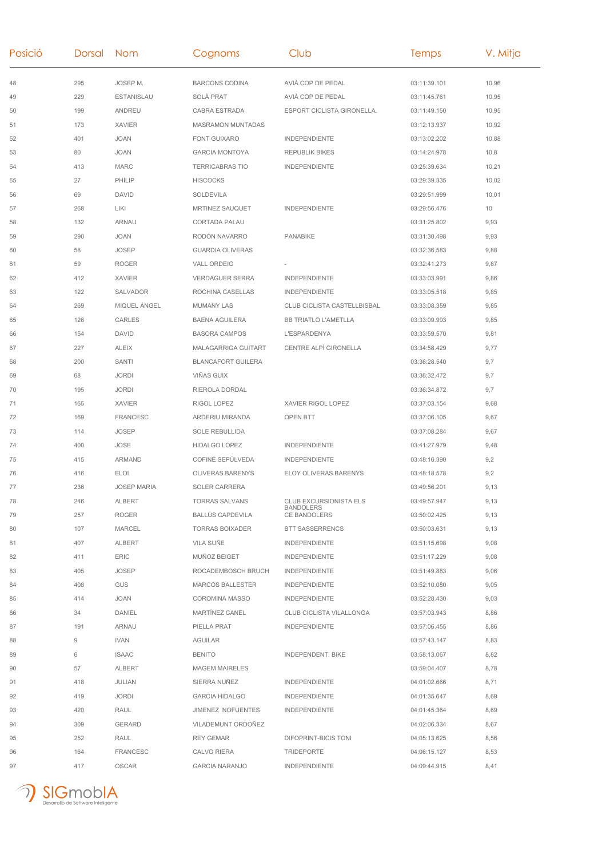| Posició | Dorsal Nom |                    | Cognoms                   | Club                                    | <b>Temps</b> | V. Mitja |
|---------|------------|--------------------|---------------------------|-----------------------------------------|--------------|----------|
| 48      | 295        | JOSEP M.           | <b>BARCONS CODINA</b>     | AVIÀ COP DE PEDAL                       | 03:11:39.101 | 10,96    |
| 49      | 229        | <b>ESTANISLAU</b>  | SOLÀ PRAT                 | AVIÀ COP DE PEDAL                       | 03:11:45.761 | 10,95    |
| 50      | 199        | ANDREU             | CABRA ESTRADA             | ESPORT CICLISTA GIRONELLA.              | 03:11:49.150 | 10,95    |
| 51      | 173        | <b>XAVIER</b>      | <b>MASRAMON MUNTADAS</b>  |                                         | 03:12:13.937 | 10,92    |
| 52      | 401        | <b>JOAN</b>        | <b>FONT GUIXARO</b>       | <b>INDEPENDIENTE</b>                    | 03:13:02.202 | 10,88    |
| 53      | 80         | <b>JOAN</b>        | <b>GARCIA MONTOYA</b>     | <b>REPUBLIK BIKES</b>                   | 03:14:24.978 | 10,8     |
| 54      | 413        | <b>MARC</b>        | <b>TERRICABRAS TIO</b>    | <b>INDEPENDIENTE</b>                    | 03:25:39.634 | 10,21    |
| 55      | 27         | PHILIP             | <b>HISCOCKS</b>           |                                         | 03:29:39.335 | 10,02    |
| 56      | 69         | DAVID              | SOLDEVILA                 |                                         | 03:29:51.999 | 10,01    |
| 57      | 268        | LIKI               | MRTINEZ SAUQUET           | <b>INDEPENDIENTE</b>                    | 03:29:56.476 | 10       |
| 58      | 132        | ARNAU              | CORTADA PALAU             |                                         | 03:31:25.802 | 9,93     |
| 59      | 290        | <b>JOAN</b>        | RODÓN NAVARRO             | <b>PANABIKE</b>                         | 03:31:30.498 | 9,93     |
| 60      | 58         | <b>JOSEP</b>       | <b>GUARDIA OLIVERAS</b>   |                                         | 03:32:36.583 | 9,88     |
| 61      | 59         | <b>ROGER</b>       | <b>VALL ORDEIG</b>        |                                         | 03:32:41.273 | 9,87     |
| 62      | 412        | <b>XAVIER</b>      | <b>VERDAGUER SERRA</b>    | <b>INDEPENDIENTE</b>                    | 03:33:03.991 | 9,86     |
| 63      | 122        | SALVADOR           | ROCHINA CASELLAS          | <b>INDEPENDIENTE</b>                    | 03:33:05.518 | 9,85     |
| 64      | 269        | MIQUEL ÀNGEL       | <b>MUMANY LAS</b>         | CLUB CICLISTA CASTELLBISBAL             | 03:33:08.359 | 9,85     |
| 65      | 126        | CARLES             | <b>BAENA AGUILERA</b>     | <b>BB TRIATLO L'AMETLLA</b>             | 03:33:09.993 | 9,85     |
| 66      | 154        | DAVID              | <b>BASORA CAMPOS</b>      | <b>L'ESPARDENYA</b>                     | 03:33:59.570 | 9,81     |
| 67      | 227        | <b>ALEIX</b>       | MALAGARRIGA GUITART       | CENTRE ALPÍ GIRONELLA                   | 03:34:58.429 | 9,77     |
| 68      | 200        | SANTI              | <b>BLANCAFORT GUILERA</b> |                                         | 03:36:28.540 | 9,7      |
| 69      | 68         | <b>JORDI</b>       | VIÑAS GUIX                |                                         | 03:36:32.472 | 9,7      |
| 70      | 195        | <b>JORDI</b>       | RIEROLA DORDAL            |                                         | 03:36:34.872 | 9,7      |
| 71      | 165        | <b>XAVIER</b>      | RIGOL LOPEZ               | XAVIER RIGOL LOPEZ                      | 03:37:03.154 | 9,68     |
| 72      | 169        | <b>FRANCESC</b>    | ARDERIU MIRANDA           | OPEN BTT                                | 03:37:06.105 | 9,67     |
| 73      | 114        | <b>JOSEP</b>       | <b>SOLE REBULLIDA</b>     |                                         | 03:37:08.284 | 9,67     |
| 74      | 400        | <b>JOSE</b>        | <b>HIDALGO LOPEZ</b>      | <b>INDEPENDIENTE</b>                    | 03:41:27.979 | 9,48     |
| 75      | 415        | ARMAND             | COFINÉ SEPÚLVEDA          | <b>INDEPENDIENTE</b>                    | 03:48:16.390 | 9,2      |
| 76      | 416        | <b>ELOI</b>        | <b>OLIVERAS BARENYS</b>   | ELOY OLIVERAS BARENYS                   | 03:48:18.578 | 9,2      |
| 77      | 236        | <b>JOSEP MARIA</b> | <b>SOLER CARRERA</b>      |                                         | 03:49:56.201 | 9,13     |
| 78      | 246        | ALBERT             | <b>TORRAS SALVANS</b>     | CLUB EXCURSIONISTA ELS                  | 03:49:57.947 | 9,13     |
| 79      | 257        | <b>ROGER</b>       | <b>BALLUS CAPDEVILA</b>   | <b>BANDOLERS</b><br><b>CE BANDOLERS</b> | 03:50:02.425 | 9,13     |
| 80      | 107        | MARCEL             | <b>TORRAS BOIXADER</b>    | <b>BTT SASSERRENCS</b>                  | 03:50:03.631 | 9,13     |
| 81      | 407        | ALBERT             | VILA SUÑE                 | <b>INDEPENDIENTE</b>                    | 03:51:15.698 | 9,08     |
| 82      | 411        | ERIC               | MUÑOZ BEIGET              | <b>INDEPENDIENTE</b>                    | 03:51:17.229 | 9,08     |
| 83      | 405        | <b>JOSEP</b>       | ROCADEMBOSCH BRUCH        | <b>INDEPENDIENTE</b>                    | 03:51:49.883 | 9,06     |
| 84      | 408        | <b>GUS</b>         | <b>MARCOS BALLESTER</b>   | <b>INDEPENDIENTE</b>                    | 03:52:10.080 | 9,05     |
| 85      | 414        | JOAN               | <b>COROMINA MASSO</b>     | <b>INDEPENDIENTE</b>                    | 03:52:28.430 | 9,03     |
| 86      | 34         | DANIEL             | MARTINEZ CANEL            | CLUB CICLISTA VILALLONGA                | 03:57:03.943 | 8,86     |
| 87      | 191        | <b>ARNAU</b>       | PIELLA PRAT               | <b>INDEPENDIENTE</b>                    | 03:57:06.455 | 8,86     |
| 88      | 9          | <b>IVAN</b>        | AGUILAR                   |                                         | 03:57:43.147 | 8,83     |
| 89      | 6          | <b>ISAAC</b>       | <b>BENITO</b>             | INDEPENDENT. BIKE                       | 03:58:13.067 | 8,82     |
| 90      | 57         | <b>ALBERT</b>      | <b>MAGEM MAIRELES</b>     |                                         | 03:59:04.407 | 8,78     |
| 91      | 418        | JULIAN             | SIERRA NUÑEZ              | <b>INDEPENDIENTE</b>                    | 04:01:02.666 | 8,71     |
| 92      | 419        | <b>JORDI</b>       | <b>GARCIA HIDALGO</b>     | <b>INDEPENDIENTE</b>                    | 04:01:35.647 | 8,69     |
| 93      | 420        | RAUL               | JIMENEZ NOFUENTES         | <b>INDEPENDIENTE</b>                    | 04:01:45.364 | 8,69     |
| 94      | 309        | GERARD             | VILADEMUNT ORDOÑEZ        |                                         | 04:02:06.334 | 8,67     |
| 95      | 252        | RAUL               | <b>REY GEMAR</b>          | DIFOPRINT-BICIS TONI                    | 04:05:13.625 | 8,56     |
| 96      | 164        | <b>FRANCESC</b>    | CALVO RIERA               | <b>TRIDEPORTE</b>                       | 04:06:15.127 | 8,53     |
| 97      | 417        | OSCAR              | <b>GARCIA NARANJO</b>     | <b>INDEPENDIENTE</b>                    | 04:09:44.915 | 8,41     |
|         |            |                    |                           |                                         |              |          |